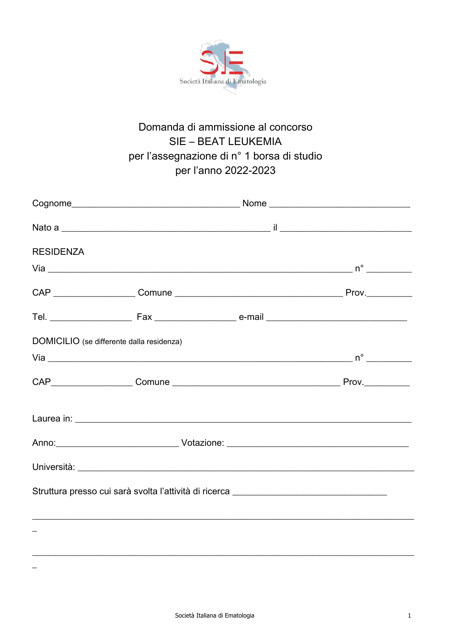

## Domanda di ammissione al concorso **SIE - BEAT LEUKEMIA** per l'assegnazione di n° 1 borsa di studio per l'anno 2022-2023

| <b>RESIDENZA</b>                                                                 |  |  |  |
|----------------------------------------------------------------------------------|--|--|--|
|                                                                                  |  |  |  |
|                                                                                  |  |  |  |
|                                                                                  |  |  |  |
| DOMICILIO (se differente dalla residenza)                                        |  |  |  |
|                                                                                  |  |  |  |
|                                                                                  |  |  |  |
|                                                                                  |  |  |  |
|                                                                                  |  |  |  |
|                                                                                  |  |  |  |
| Struttura presso cui sarà svolta l'attività di ricerca _________________________ |  |  |  |
|                                                                                  |  |  |  |

 $\frac{1}{2}$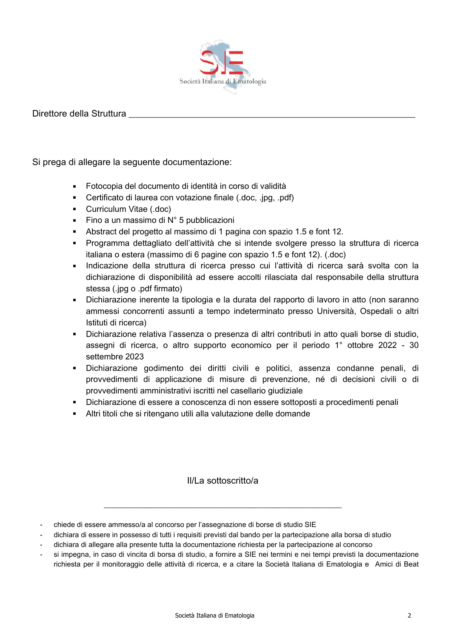

## Direttore della Struttura

Si prega di allegare la sequente documentazione:

- Fotocopia del documento di identità in corso di validità
- Certificato di laurea con votazione finale (.doc. .jpg. .pdf)
- Curriculum Vitae (.doc)
- Fino a un massimo di  $N^{\circ}$  5 pubblicazioni
- Abstract del progetto al massimo di 1 pagina con spazio 1.5 e font 12.
- Programma dettagliato dell'attività che si intende svolgere presso la struttura di ricerca italiana o estera (massimo di 6 pagine con spazio 1.5 e font 12). (.doc)
- Indicazione della struttura di ricerca presso cui l'attività di ricerca sarà svolta con la dichiarazione di disponibilità ad essere accolti rilasciata dal responsabile della struttura stessa (.jpg o .pdf firmato)
- Dichiarazione inerente la tipologia e la durata del rapporto di lavoro in atto (non saranno ammessi concorrenti assunti a tempo indeterminato presso Università. Ospedali o altri Istituti di ricerca)
- Dichiarazione relativa l'assenza o presenza di altri contributi in atto quali borse di studio, assegni di ricerca, o altro supporto economico per il periodo 1° ottobre 2022 - 30 settembre 2023
- · Dichiarazione godimento dei diritti civili e politici, assenza condanne penali, di provvedimenti di applicazione di misure di prevenzione, né di decisioni civili o di provvedimenti amministrativi iscritti nel casellario giudiziale
- Dichiarazione di essere a conoscenza di non essere sottoposti a procedimenti penali
- Altri titoli che si ritengano utili alla valutazione delle domande

II/La sottoscritto/a

- chiede di essere ammesso/a al concorso per l'assegnazione di borse di studio SIE
- dichiara di essere in possesso di tutti i requisiti previsti dal bando per la partecipazione alla borsa di studio
- dichiara di allegare alla presente tutta la documentazione richiesta per la partecipazione al concorso
- si impegna, in caso di vincita di borsa di studio, a fornire a SIE nei termini e nei tempi previsti la documentazione richiesta per il monitoraggio delle attività di ricerca, e a citare la Società Italiana di Ematologia e Amici di Beat